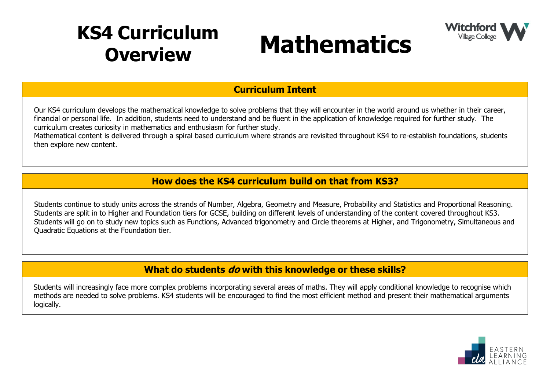## **KS4 Curriculum**





**Curriculum Intent**

Our KS4 curriculum develops the mathematical knowledge to solve problems that they will encounter in the world around us whether in their career, financial or personal life. In addition, students need to understand and be fluent in the application of knowledge required for further study. The curriculum creates curiosity in mathematics and enthusiasm for further study.

Mathematical content is delivered through a spiral based curriculum where strands are revisited throughout KS4 to re-establish foundations, students then explore new content.

## **How does the KS4 curriculum build on that from KS3?**

Students continue to study units across the strands of Number, Algebra, Geometry and Measure, Probability and Statistics and Proportional Reasoning. Students are split in to Higher and Foundation tiers for GCSE, building on different levels of understanding of the content covered throughout KS3. Students will go on to study new topics such as Functions, Advanced trigonometry and Circle theorems at Higher, and Trigonometry, Simultaneous and Quadratic Equations at the Foundation tier.

## **What do students do with this knowledge or these skills?**

Students will increasingly face more complex problems incorporating several areas of maths. They will apply conditional knowledge to recognise which methods are needed to solve problems. KS4 students will be encouraged to find the most efficient method and present their mathematical arguments logically.

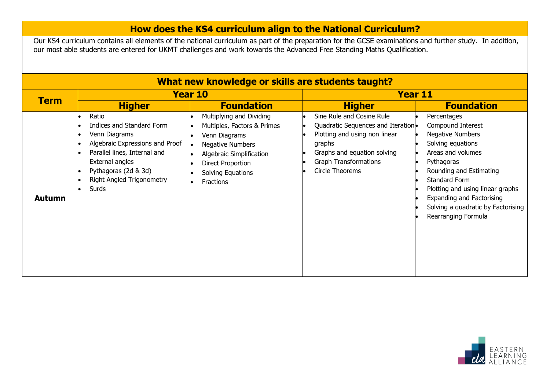## **How does the KS4 curriculum align to the National Curriculum?**

Our KS4 curriculum contains all elements of the national curriculum as part of the preparation for the GCSE examinations and further study. In addition, our most able students are entered for UKMT challenges and work towards the Advanced Free Standing Maths Qualification.

| What new knowledge or skills are students taught? |                                                                                                                                                                                                                |                                                                                                                                                                                        |                                                                                                                                                                                              |                                                                                                                                                                                                                                                                                                      |  |  |
|---------------------------------------------------|----------------------------------------------------------------------------------------------------------------------------------------------------------------------------------------------------------------|----------------------------------------------------------------------------------------------------------------------------------------------------------------------------------------|----------------------------------------------------------------------------------------------------------------------------------------------------------------------------------------------|------------------------------------------------------------------------------------------------------------------------------------------------------------------------------------------------------------------------------------------------------------------------------------------------------|--|--|
| <b>Term</b>                                       | Year 10                                                                                                                                                                                                        |                                                                                                                                                                                        | <b>Year 11</b>                                                                                                                                                                               |                                                                                                                                                                                                                                                                                                      |  |  |
|                                                   | <b>Higher</b>                                                                                                                                                                                                  | <b>Foundation</b>                                                                                                                                                                      | <b>Higher</b>                                                                                                                                                                                | <b>Foundation</b>                                                                                                                                                                                                                                                                                    |  |  |
| <b>Autumn</b>                                     | Ratio<br>Indices and Standard Form<br>Venn Diagrams<br>Algebraic Expressions and Proof<br>Parallel lines, Internal and<br>External angles<br>Pythagoras (2d & 3d)<br><b>Right Angled Trigonometry</b><br>Surds | Multiplying and Dividing<br>Multiples, Factors & Primes<br>Venn Diagrams<br><b>Negative Numbers</b><br>Algebraic Simplification<br>Direct Proportion<br>Solving Equations<br>Fractions | Sine Rule and Cosine Rule<br>Quadratic Sequences and Iteration.<br>Plotting and using non linear<br>graphs<br>Graphs and equation solving<br><b>Graph Transformations</b><br>Circle Theorems | Percentages<br>Compound Interest<br><b>Negative Numbers</b><br>Solving equations<br>Areas and volumes<br>Pythagoras<br>Rounding and Estimating<br>Standard Form<br>Plotting and using linear graphs<br><b>Expanding and Factorising</b><br>Solving a quadratic by Factorising<br>Rearranging Formula |  |  |